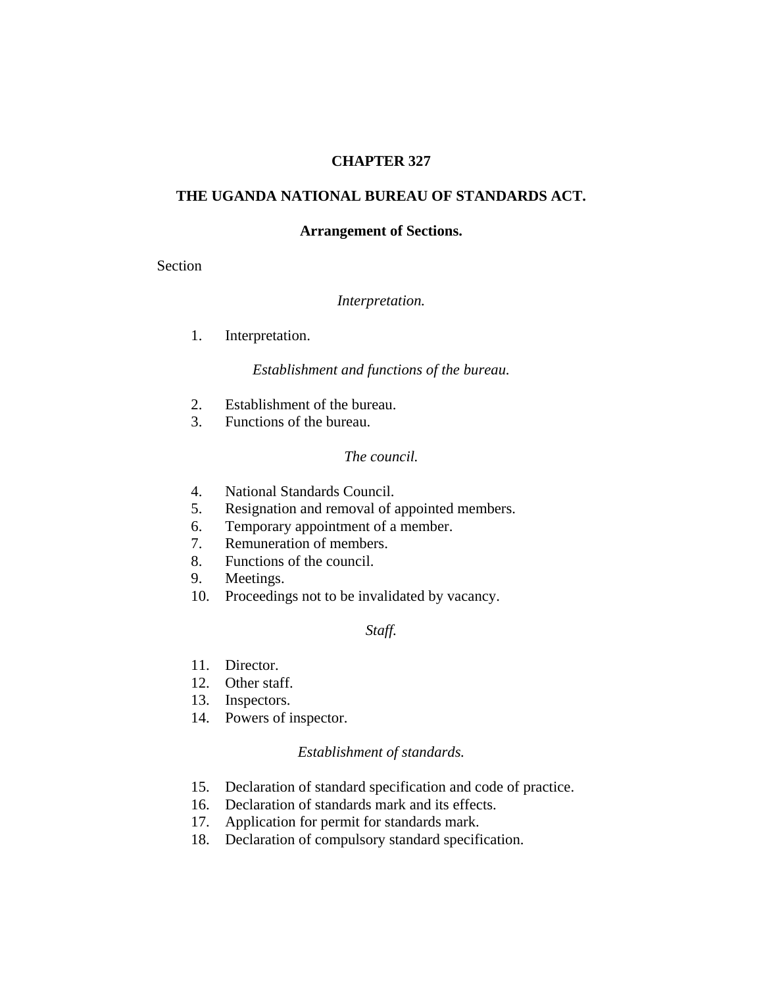### **CHAPTER 327**

### **THE UGANDA NATIONAL BUREAU OF STANDARDS ACT.**

#### **Arrangement of Sections.**

Section

#### *Interpretation.*

1. Interpretation.

#### *Establishment and functions of the bureau.*

- 2. Establishment of the bureau.
- 3. Functions of the bureau.

#### *The council.*

- 4. National Standards Council.
- 5. Resignation and removal of appointed members.
- 6. Temporary appointment of a member.
- 7. Remuneration of members.
- 8. Functions of the council.
- 9. Meetings.
- 10. Proceedings not to be invalidated by vacancy.

#### *Staff.*

- 11. Director.
- 12. Other staff.
- 13. Inspectors.
- 14. Powers of inspector.

#### *Establishment of standards.*

- 15. Declaration of standard specification and code of practice.
- 16. Declaration of standards mark and its effects.
- 17. Application for permit for standards mark.
- 18. Declaration of compulsory standard specification.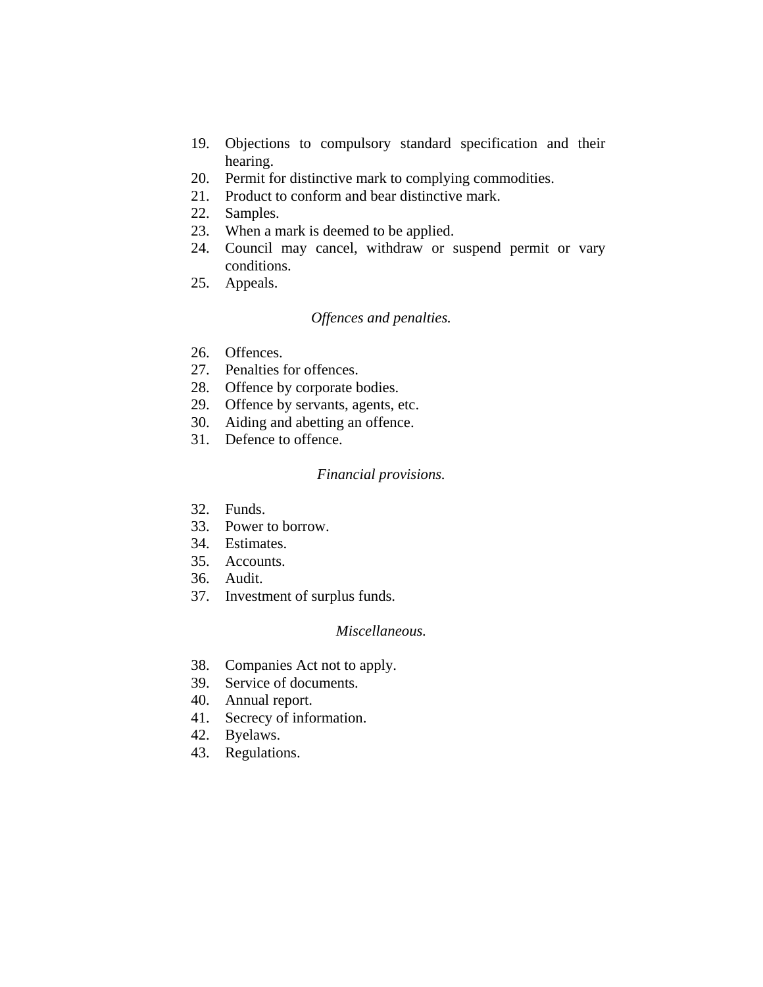- 19. Objections to compulsory standard specification and their hearing.
- 20. Permit for distinctive mark to complying commodities.
- 21. Product to conform and bear distinctive mark.
- 22. Samples.
- 23. When a mark is deemed to be applied.
- 24. Council may cancel, withdraw or suspend permit or vary conditions.
- 25. Appeals.

#### *Offences and penalties.*

- 26. Offences.
- 27. Penalties for offences.
- 28. Offence by corporate bodies.
- 29. Offence by servants, agents, etc.
- 30. Aiding and abetting an offence.
- 31. Defence to offence.

#### *Financial provisions.*

- 32. Funds.
- 33. Power to borrow.
- 34. Estimates.
- 35. Accounts.
- 36. Audit.
- 37. Investment of surplus funds.

### *Miscellaneous.*

- 38. Companies Act not to apply.
- 39. Service of documents.
- 40. Annual report.
- 41. Secrecy of information.
- 42. Byelaws.
- 43. Regulations.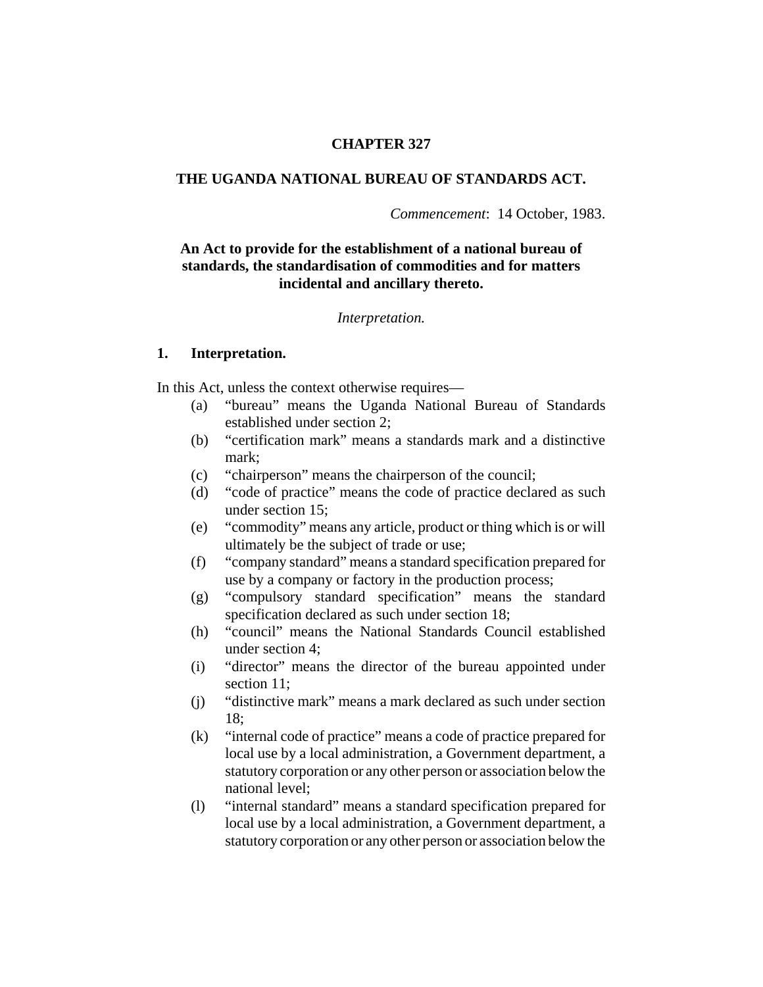### **CHAPTER 327**

### **THE UGANDA NATIONAL BUREAU OF STANDARDS ACT.**

*Commencement*: 14 October, 1983.

## **An Act to provide for the establishment of a national bureau of standards, the standardisation of commodities and for matters incidental and ancillary thereto.**

#### *Interpretation.*

#### **1. Interpretation.**

In this Act, unless the context otherwise requires—

- (a) "bureau" means the Uganda National Bureau of Standards established under section 2;
- (b) "certification mark" means a standards mark and a distinctive mark;
- (c) "chairperson" means the chairperson of the council;
- (d) "code of practice" means the code of practice declared as such under section 15;
- (e) "commodity" means any article, product or thing which is or will ultimately be the subject of trade or use;
- (f) "company standard" means a standard specification prepared for use by a company or factory in the production process;
- (g) "compulsory standard specification" means the standard specification declared as such under section 18;
- (h) "council" means the National Standards Council established under section 4;
- (i) "director" means the director of the bureau appointed under section 11;
- (j) "distinctive mark" means a mark declared as such under section 18;
- (k) "internal code of practice" means a code of practice prepared for local use by a local administration, a Government department, a statutory corporation or any other person or association below the national level;
- (l) "internal standard" means a standard specification prepared for local use by a local administration, a Government department, a statutory corporation or any other person or association below the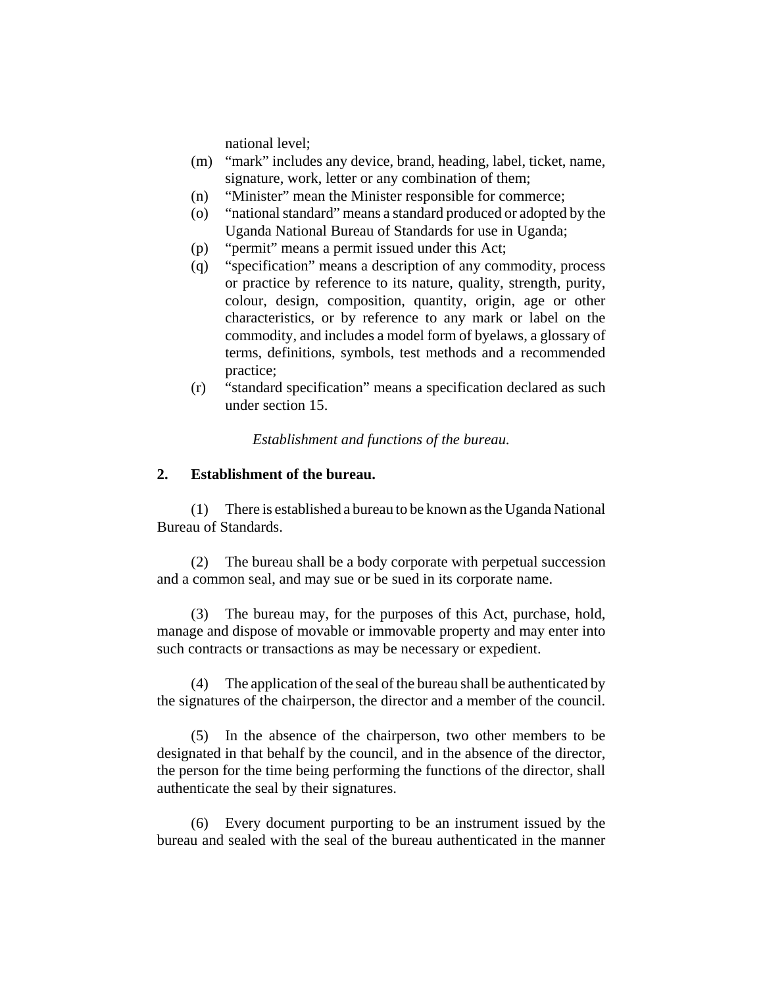national level;

- (m) "mark" includes any device, brand, heading, label, ticket, name, signature, work, letter or any combination of them;
- (n) "Minister" mean the Minister responsible for commerce;
- (o) "national standard" means a standard produced or adopted by the Uganda National Bureau of Standards for use in Uganda;
- (p) "permit" means a permit issued under this Act;
- (q) "specification" means a description of any commodity, process or practice by reference to its nature, quality, strength, purity, colour, design, composition, quantity, origin, age or other characteristics, or by reference to any mark or label on the commodity, and includes a model form of byelaws, a glossary of terms, definitions, symbols, test methods and a recommended practice;
- (r) "standard specification" means a specification declared as such under section 15.

*Establishment and functions of the bureau.*

#### **2. Establishment of the bureau.**

(1) There is established a bureau to be known as the Uganda National Bureau of Standards.

(2) The bureau shall be a body corporate with perpetual succession and a common seal, and may sue or be sued in its corporate name.

(3) The bureau may, for the purposes of this Act, purchase, hold, manage and dispose of movable or immovable property and may enter into such contracts or transactions as may be necessary or expedient.

(4) The application of the seal of the bureau shall be authenticated by the signatures of the chairperson, the director and a member of the council.

(5) In the absence of the chairperson, two other members to be designated in that behalf by the council, and in the absence of the director, the person for the time being performing the functions of the director, shall authenticate the seal by their signatures.

(6) Every document purporting to be an instrument issued by the bureau and sealed with the seal of the bureau authenticated in the manner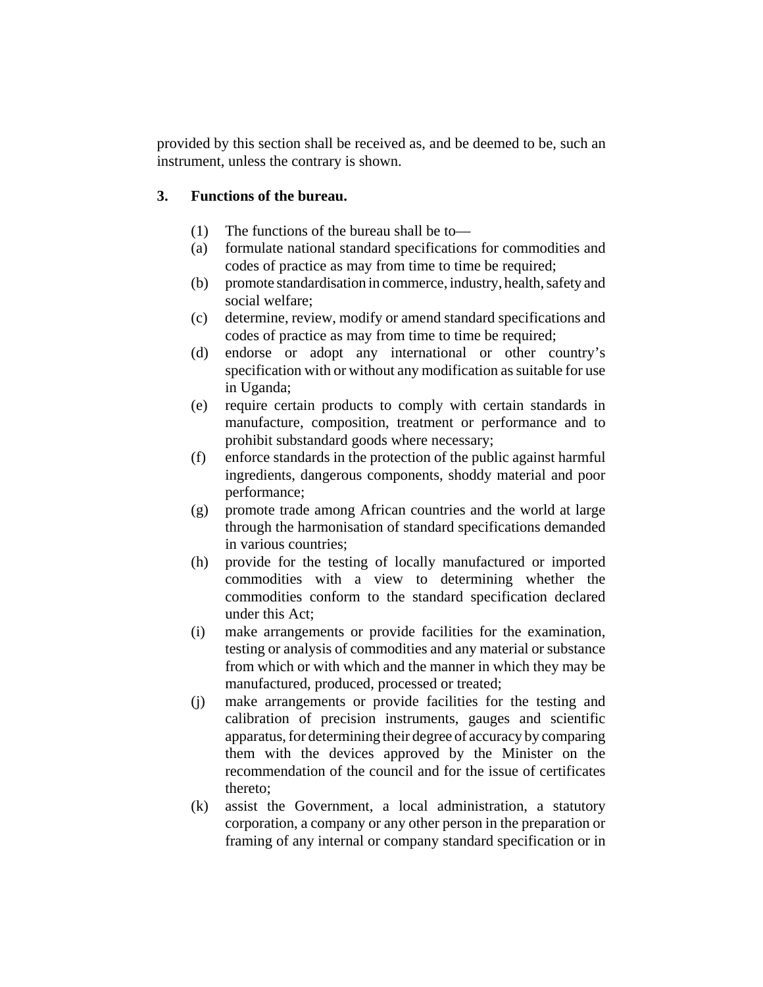provided by this section shall be received as, and be deemed to be, such an instrument, unless the contrary is shown.

# **3. Functions of the bureau.**

- (1) The functions of the bureau shall be to—
- (a) formulate national standard specifications for commodities and codes of practice as may from time to time be required;
- (b) promote standardisation in commerce, industry, health, safety and social welfare;
- (c) determine, review, modify or amend standard specifications and codes of practice as may from time to time be required;
- (d) endorse or adopt any international or other country's specification with or without any modification as suitable for use in Uganda;
- (e) require certain products to comply with certain standards in manufacture, composition, treatment or performance and to prohibit substandard goods where necessary;
- (f) enforce standards in the protection of the public against harmful ingredients, dangerous components, shoddy material and poor performance;
- (g) promote trade among African countries and the world at large through the harmonisation of standard specifications demanded in various countries;
- (h) provide for the testing of locally manufactured or imported commodities with a view to determining whether the commodities conform to the standard specification declared under this Act;
- (i) make arrangements or provide facilities for the examination, testing or analysis of commodities and any material or substance from which or with which and the manner in which they may be manufactured, produced, processed or treated;
- (j) make arrangements or provide facilities for the testing and calibration of precision instruments, gauges and scientific apparatus, for determining their degree of accuracy by comparing them with the devices approved by the Minister on the recommendation of the council and for the issue of certificates thereto;
- (k) assist the Government, a local administration, a statutory corporation, a company or any other person in the preparation or framing of any internal or company standard specification or in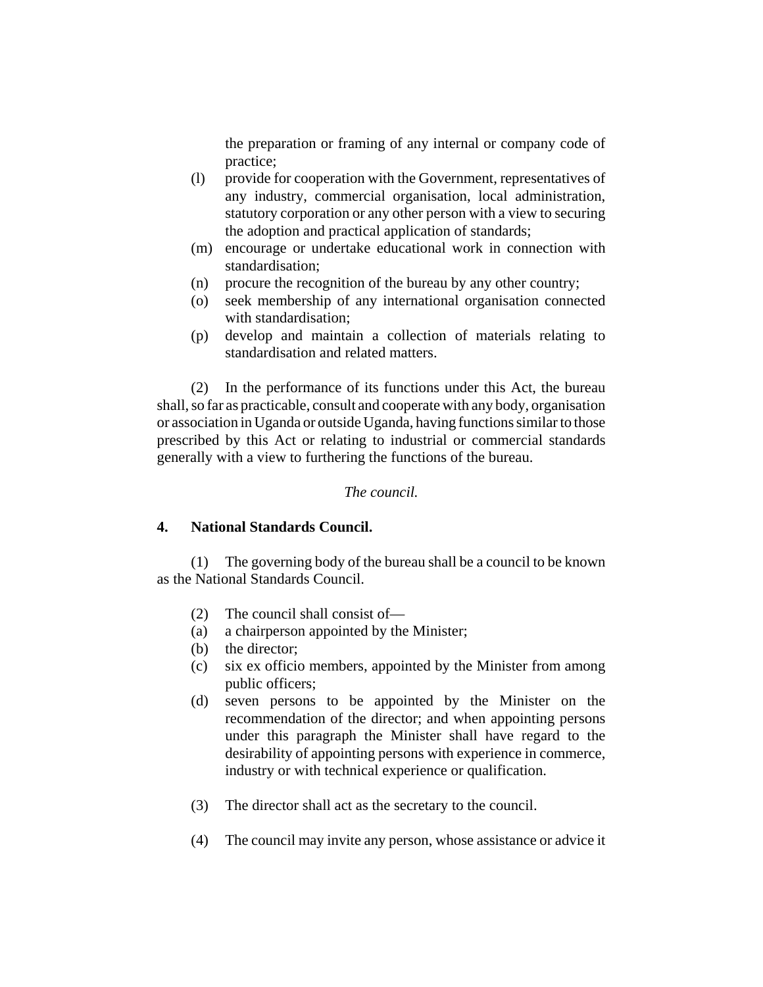the preparation or framing of any internal or company code of practice;

- (l) provide for cooperation with the Government, representatives of any industry, commercial organisation, local administration, statutory corporation or any other person with a view to securing the adoption and practical application of standards;
- (m) encourage or undertake educational work in connection with standardisation;
- (n) procure the recognition of the bureau by any other country;
- (o) seek membership of any international organisation connected with standardisation;
- (p) develop and maintain a collection of materials relating to standardisation and related matters.

(2) In the performance of its functions under this Act, the bureau shall, so far as practicable, consult and cooperate with any body, organisation or association in Uganda or outside Uganda, having functions similar to those prescribed by this Act or relating to industrial or commercial standards generally with a view to furthering the functions of the bureau.

## *The council.*

# **4. National Standards Council.**

(1) The governing body of the bureau shall be a council to be known as the National Standards Council.

- (2) The council shall consist of—
- (a) a chairperson appointed by the Minister;
- (b) the director;
- (c) six ex officio members, appointed by the Minister from among public officers;
- (d) seven persons to be appointed by the Minister on the recommendation of the director; and when appointing persons under this paragraph the Minister shall have regard to the desirability of appointing persons with experience in commerce, industry or with technical experience or qualification.
- (3) The director shall act as the secretary to the council.
- (4) The council may invite any person, whose assistance or advice it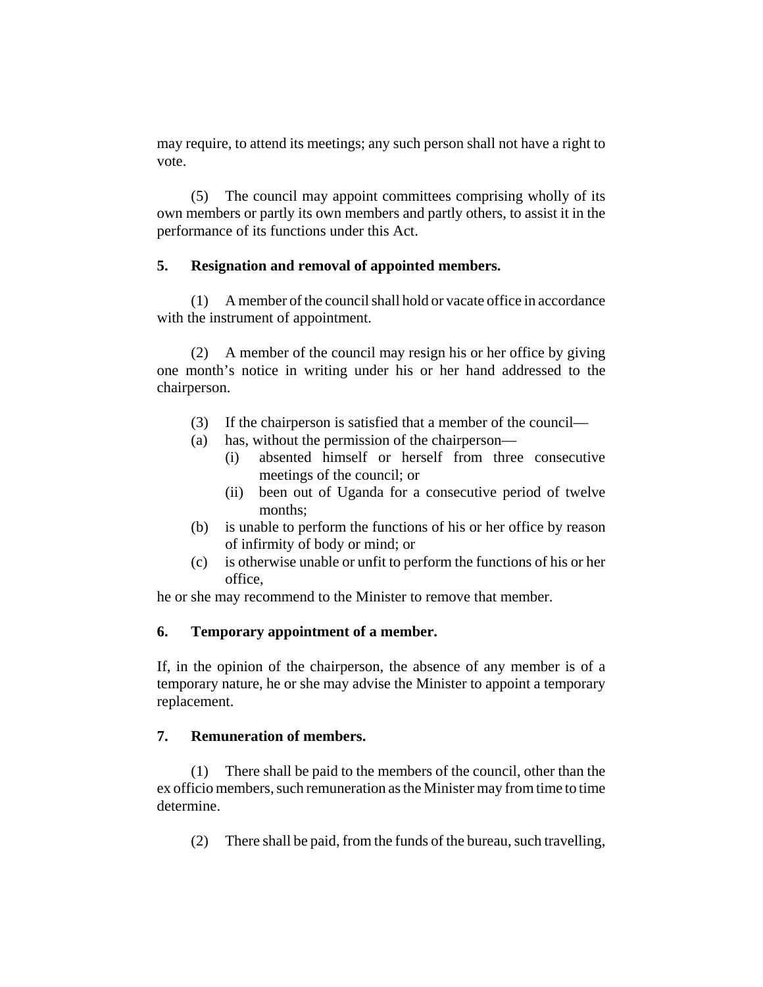may require, to attend its meetings; any such person shall not have a right to vote.

(5) The council may appoint committees comprising wholly of its own members or partly its own members and partly others, to assist it in the performance of its functions under this Act.

## **5. Resignation and removal of appointed members.**

(1) A member of the council shall hold or vacate office in accordance with the instrument of appointment.

(2) A member of the council may resign his or her office by giving one month's notice in writing under his or her hand addressed to the chairperson.

- (3) If the chairperson is satisfied that a member of the council—
- (a) has, without the permission of the chairperson—
	- (i) absented himself or herself from three consecutive meetings of the council; or
	- (ii) been out of Uganda for a consecutive period of twelve months;
- (b) is unable to perform the functions of his or her office by reason of infirmity of body or mind; or
- (c) is otherwise unable or unfit to perform the functions of his or her office,

he or she may recommend to the Minister to remove that member.

# **6. Temporary appointment of a member.**

If, in the opinion of the chairperson, the absence of any member is of a temporary nature, he or she may advise the Minister to appoint a temporary replacement.

# **7. Remuneration of members.**

(1) There shall be paid to the members of the council, other than the ex officio members, such remuneration as the Minister may from time to time determine.

(2) There shall be paid, from the funds of the bureau, such travelling,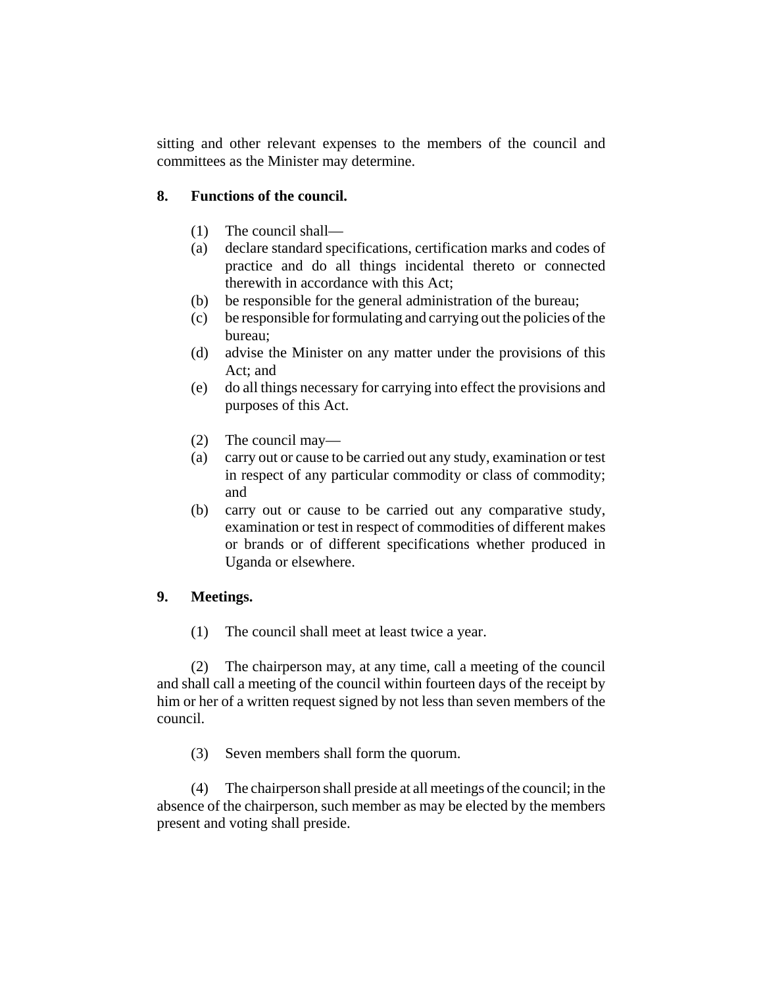sitting and other relevant expenses to the members of the council and committees as the Minister may determine.

## **8. Functions of the council.**

- (1) The council shall—
- (a) declare standard specifications, certification marks and codes of practice and do all things incidental thereto or connected therewith in accordance with this Act;
- (b) be responsible for the general administration of the bureau;
- (c) be responsible for formulating and carrying out the policies of the bureau;
- (d) advise the Minister on any matter under the provisions of this Act; and
- (e) do all things necessary for carrying into effect the provisions and purposes of this Act.
- (2) The council may—
- (a) carry out or cause to be carried out any study, examination or test in respect of any particular commodity or class of commodity; and
- (b) carry out or cause to be carried out any comparative study, examination or test in respect of commodities of different makes or brands or of different specifications whether produced in Uganda or elsewhere.

## **9. Meetings.**

(1) The council shall meet at least twice a year.

(2) The chairperson may, at any time, call a meeting of the council and shall call a meeting of the council within fourteen days of the receipt by him or her of a written request signed by not less than seven members of the council.

(3) Seven members shall form the quorum.

(4) The chairperson shall preside at all meetings of the council; in the absence of the chairperson, such member as may be elected by the members present and voting shall preside.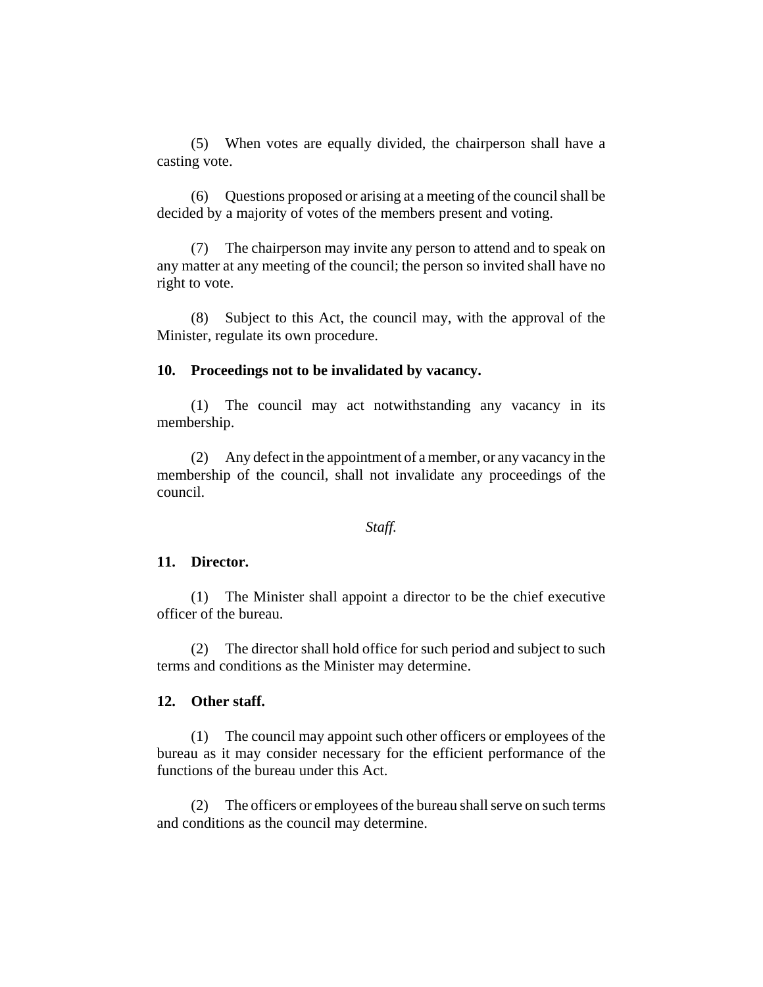(5) When votes are equally divided, the chairperson shall have a casting vote.

(6) Questions proposed or arising at a meeting of the council shall be decided by a majority of votes of the members present and voting.

(7) The chairperson may invite any person to attend and to speak on any matter at any meeting of the council; the person so invited shall have no right to vote.

(8) Subject to this Act, the council may, with the approval of the Minister, regulate its own procedure.

#### **10. Proceedings not to be invalidated by vacancy.**

(1) The council may act notwithstanding any vacancy in its membership.

(2) Any defect in the appointment of a member, or any vacancy in the membership of the council, shall not invalidate any proceedings of the council.

#### *Staff.*

#### **11. Director.**

(1) The Minister shall appoint a director to be the chief executive officer of the bureau.

(2) The director shall hold office for such period and subject to such terms and conditions as the Minister may determine.

#### **12. Other staff.**

(1) The council may appoint such other officers or employees of the bureau as it may consider necessary for the efficient performance of the functions of the bureau under this Act.

(2) The officers or employees of the bureau shall serve on such terms and conditions as the council may determine.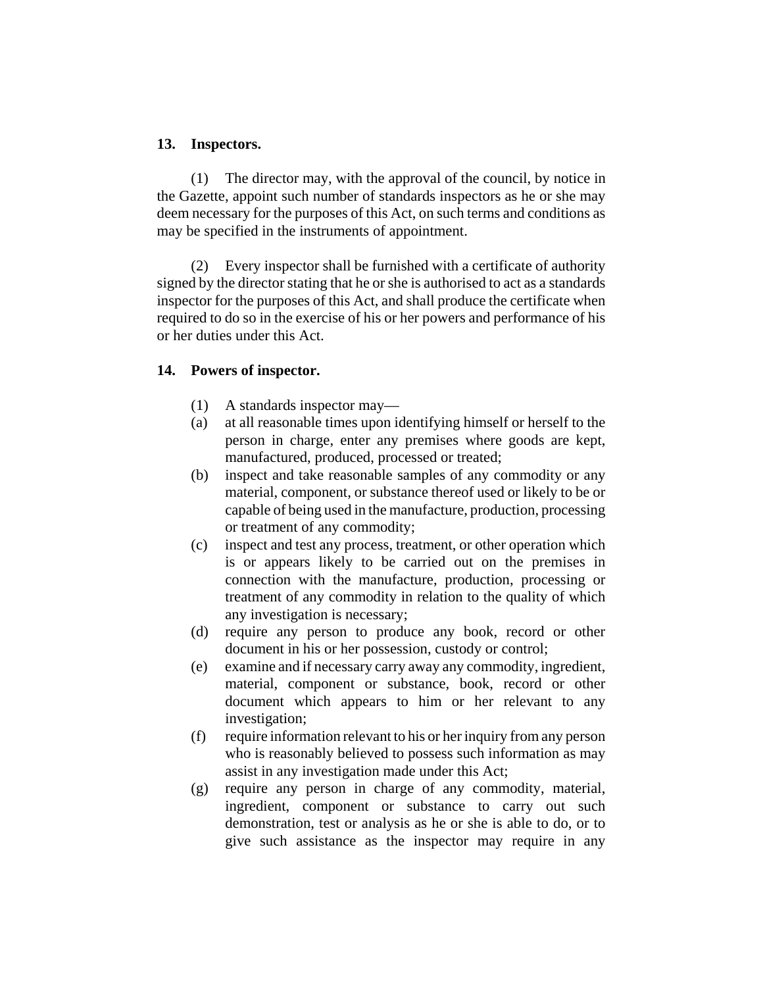### **13. Inspectors.**

(1) The director may, with the approval of the council, by notice in the Gazette, appoint such number of standards inspectors as he or she may deem necessary for the purposes of this Act, on such terms and conditions as may be specified in the instruments of appointment.

(2) Every inspector shall be furnished with a certificate of authority signed by the director stating that he or she is authorised to act as a standards inspector for the purposes of this Act, and shall produce the certificate when required to do so in the exercise of his or her powers and performance of his or her duties under this Act.

## **14. Powers of inspector.**

- (1) A standards inspector may—
- (a) at all reasonable times upon identifying himself or herself to the person in charge, enter any premises where goods are kept, manufactured, produced, processed or treated;
- (b) inspect and take reasonable samples of any commodity or any material, component, or substance thereof used or likely to be or capable of being used in the manufacture, production, processing or treatment of any commodity;
- (c) inspect and test any process, treatment, or other operation which is or appears likely to be carried out on the premises in connection with the manufacture, production, processing or treatment of any commodity in relation to the quality of which any investigation is necessary;
- (d) require any person to produce any book, record or other document in his or her possession, custody or control;
- (e) examine and if necessary carry away any commodity, ingredient, material, component or substance, book, record or other document which appears to him or her relevant to any investigation;
- (f) require information relevant to his or her inquiry from any person who is reasonably believed to possess such information as may assist in any investigation made under this Act;
- (g) require any person in charge of any commodity, material, ingredient, component or substance to carry out such demonstration, test or analysis as he or she is able to do, or to give such assistance as the inspector may require in any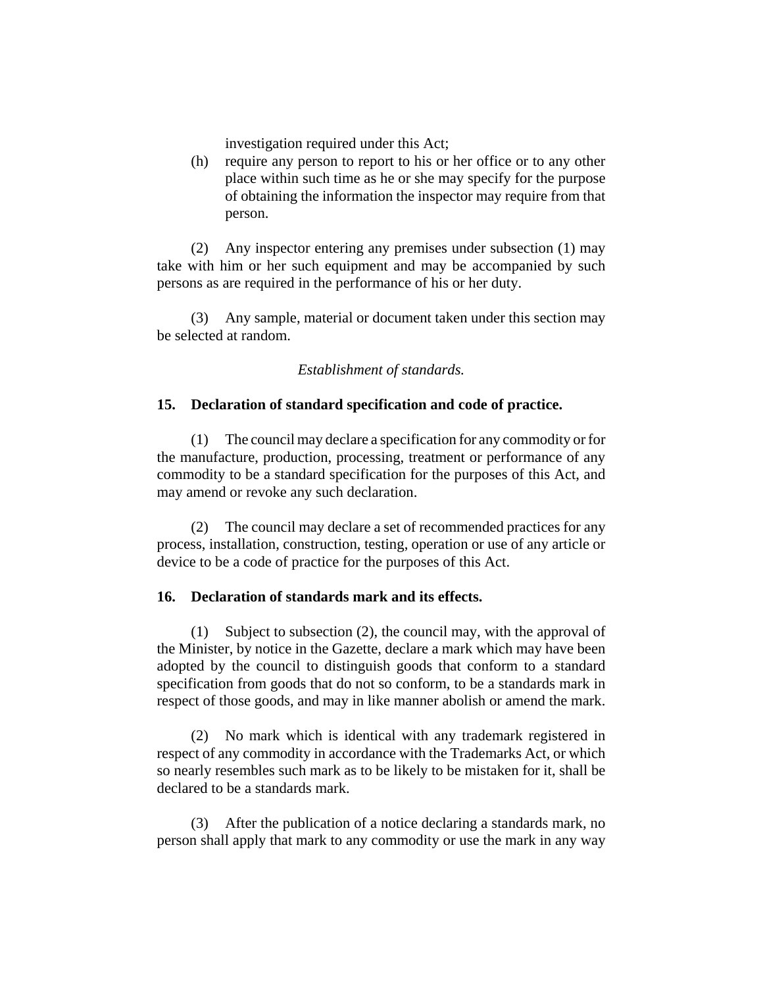investigation required under this Act;

(h) require any person to report to his or her office or to any other place within such time as he or she may specify for the purpose of obtaining the information the inspector may require from that person.

(2) Any inspector entering any premises under subsection (1) may take with him or her such equipment and may be accompanied by such persons as are required in the performance of his or her duty.

(3) Any sample, material or document taken under this section may be selected at random.

*Establishment of standards.*

## **15. Declaration of standard specification and code of practice.**

(1) The council may declare a specification for any commodity or for the manufacture, production, processing, treatment or performance of any commodity to be a standard specification for the purposes of this Act, and may amend or revoke any such declaration.

(2) The council may declare a set of recommended practices for any process, installation, construction, testing, operation or use of any article or device to be a code of practice for the purposes of this Act.

## **16. Declaration of standards mark and its effects.**

(1) Subject to subsection (2), the council may, with the approval of the Minister, by notice in the Gazette, declare a mark which may have been adopted by the council to distinguish goods that conform to a standard specification from goods that do not so conform, to be a standards mark in respect of those goods, and may in like manner abolish or amend the mark.

(2) No mark which is identical with any trademark registered in respect of any commodity in accordance with the Trademarks Act, or which so nearly resembles such mark as to be likely to be mistaken for it, shall be declared to be a standards mark.

(3) After the publication of a notice declaring a standards mark, no person shall apply that mark to any commodity or use the mark in any way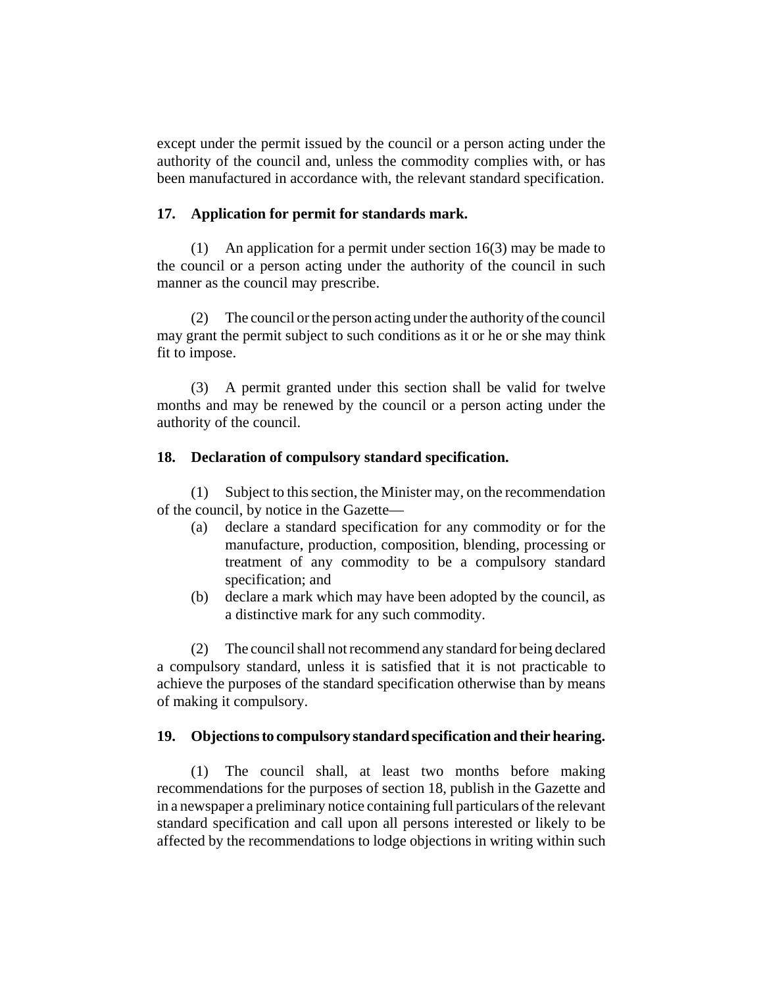except under the permit issued by the council or a person acting under the authority of the council and, unless the commodity complies with, or has been manufactured in accordance with, the relevant standard specification.

## **17. Application for permit for standards mark.**

(1) An application for a permit under section 16(3) may be made to the council or a person acting under the authority of the council in such manner as the council may prescribe.

(2) The council or the person acting under the authority of the council may grant the permit subject to such conditions as it or he or she may think fit to impose.

(3) A permit granted under this section shall be valid for twelve months and may be renewed by the council or a person acting under the authority of the council.

### **18. Declaration of compulsory standard specification.**

(1) Subject to this section, the Minister may, on the recommendation of the council, by notice in the Gazette—

- (a) declare a standard specification for any commodity or for the manufacture, production, composition, blending, processing or treatment of any commodity to be a compulsory standard specification; and
- (b) declare a mark which may have been adopted by the council, as a distinctive mark for any such commodity.

(2) The council shall not recommend any standard for being declared a compulsory standard, unless it is satisfied that it is not practicable to achieve the purposes of the standard specification otherwise than by means of making it compulsory.

## **19. Objections to compulsory standard specification and their hearing.**

(1) The council shall, at least two months before making recommendations for the purposes of section 18, publish in the Gazette and in a newspaper a preliminary notice containing full particulars of the relevant standard specification and call upon all persons interested or likely to be affected by the recommendations to lodge objections in writing within such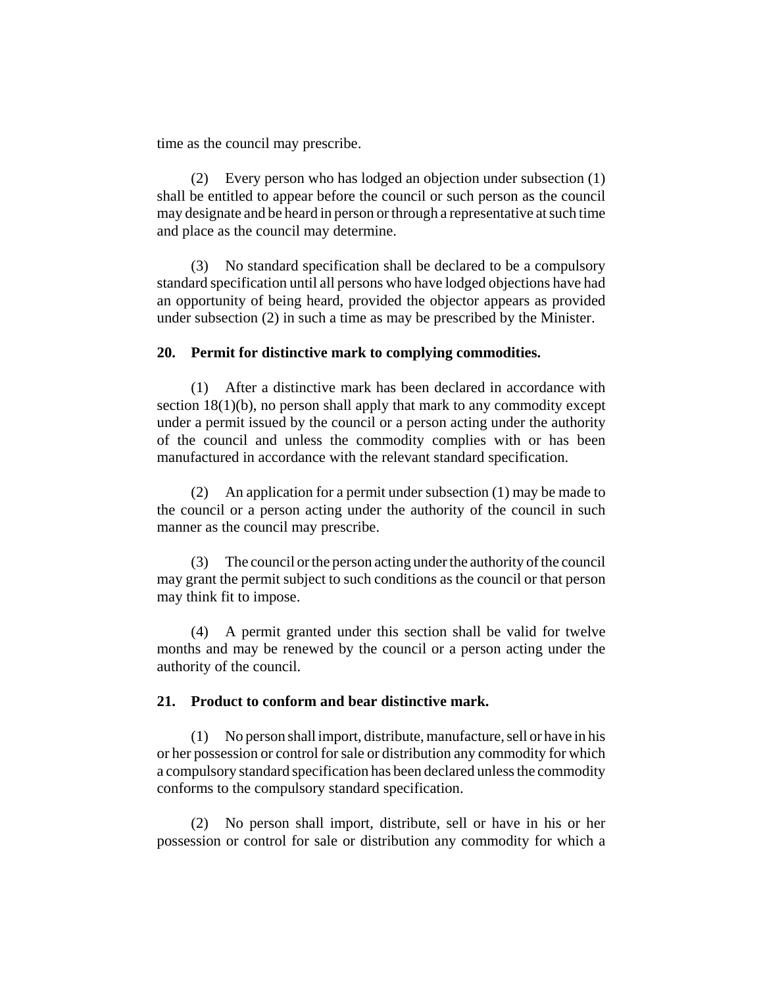time as the council may prescribe.

(2) Every person who has lodged an objection under subsection (1) shall be entitled to appear before the council or such person as the council may designate and be heard in person or through a representative at such time and place as the council may determine.

(3) No standard specification shall be declared to be a compulsory standard specification until all persons who have lodged objections have had an opportunity of being heard, provided the objector appears as provided under subsection (2) in such a time as may be prescribed by the Minister.

#### **20. Permit for distinctive mark to complying commodities.**

(1) After a distinctive mark has been declared in accordance with section 18(1)(b), no person shall apply that mark to any commodity except under a permit issued by the council or a person acting under the authority of the council and unless the commodity complies with or has been manufactured in accordance with the relevant standard specification.

(2) An application for a permit under subsection (1) may be made to the council or a person acting under the authority of the council in such manner as the council may prescribe.

(3) The council or the person acting under the authority of the council may grant the permit subject to such conditions as the council or that person may think fit to impose.

(4) A permit granted under this section shall be valid for twelve months and may be renewed by the council or a person acting under the authority of the council.

#### **21. Product to conform and bear distinctive mark.**

(1) No person shall import, distribute, manufacture, sell or have in his or her possession or control for sale or distribution any commodity for which a compulsory standard specification has been declared unless the commodity conforms to the compulsory standard specification.

(2) No person shall import, distribute, sell or have in his or her possession or control for sale or distribution any commodity for which a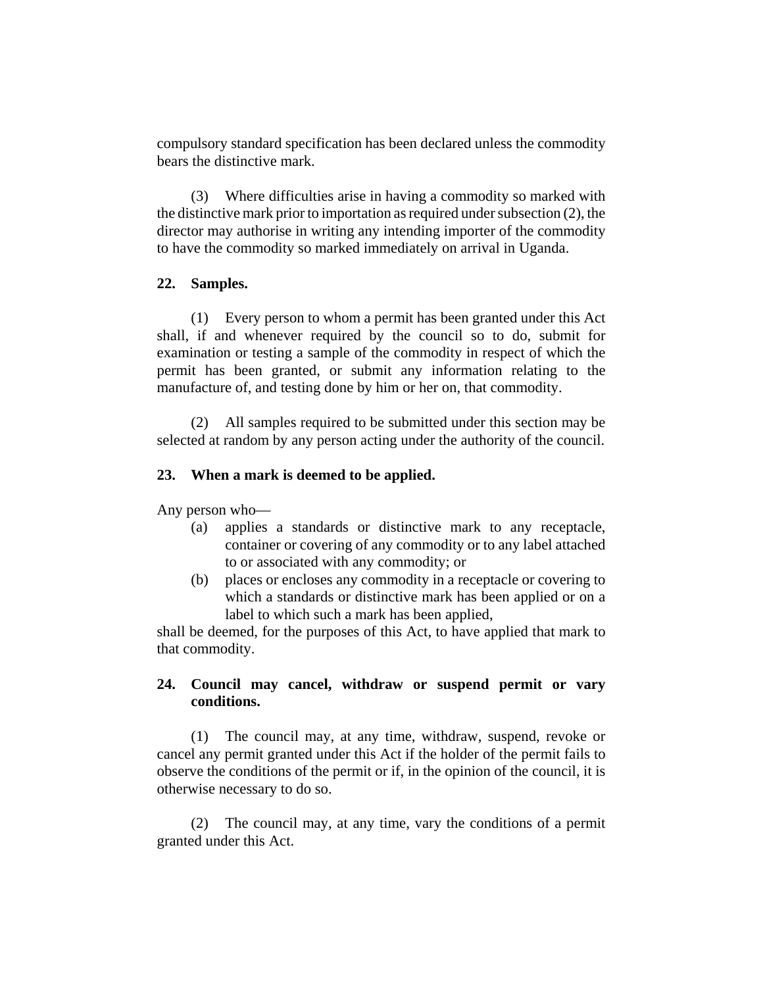compulsory standard specification has been declared unless the commodity bears the distinctive mark.

(3) Where difficulties arise in having a commodity so marked with the distinctive mark prior to importation as required under subsection (2), the director may authorise in writing any intending importer of the commodity to have the commodity so marked immediately on arrival in Uganda.

### **22. Samples.**

(1) Every person to whom a permit has been granted under this Act shall, if and whenever required by the council so to do, submit for examination or testing a sample of the commodity in respect of which the permit has been granted, or submit any information relating to the manufacture of, and testing done by him or her on, that commodity.

(2) All samples required to be submitted under this section may be selected at random by any person acting under the authority of the council.

## **23. When a mark is deemed to be applied.**

Any person who—

- (a) applies a standards or distinctive mark to any receptacle, container or covering of any commodity or to any label attached to or associated with any commodity; or
- (b) places or encloses any commodity in a receptacle or covering to which a standards or distinctive mark has been applied or on a label to which such a mark has been applied,

shall be deemed, for the purposes of this Act, to have applied that mark to that commodity.

# **24. Council may cancel, withdraw or suspend permit or vary conditions.**

(1) The council may, at any time, withdraw, suspend, revoke or cancel any permit granted under this Act if the holder of the permit fails to observe the conditions of the permit or if, in the opinion of the council, it is otherwise necessary to do so.

(2) The council may, at any time, vary the conditions of a permit granted under this Act.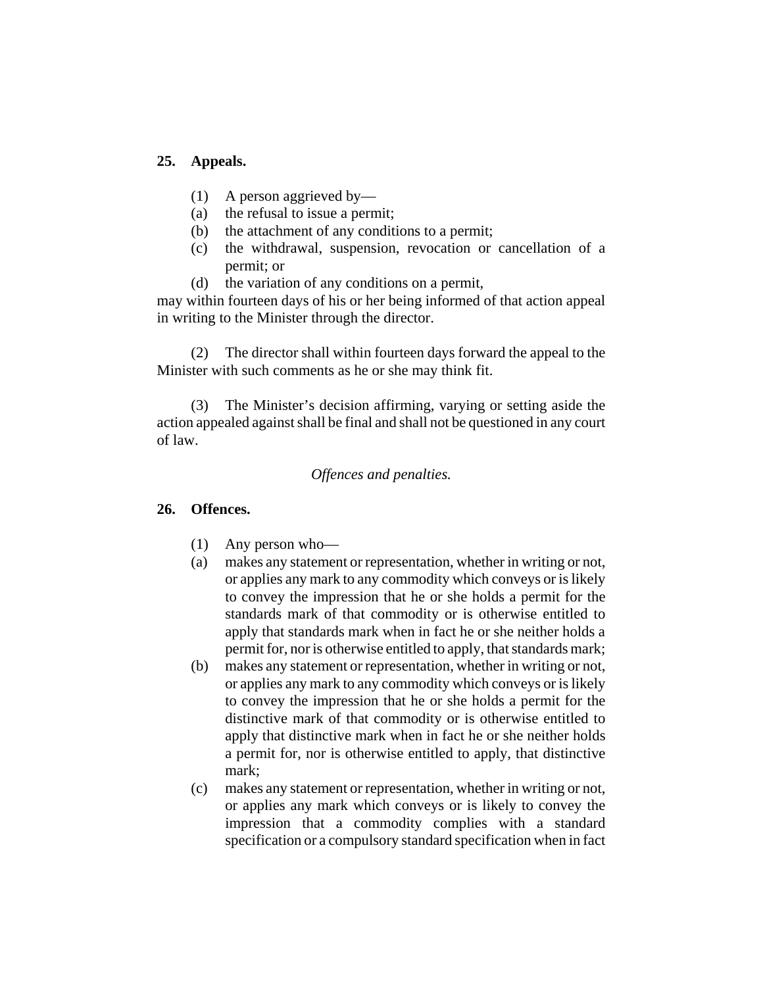## **25. Appeals.**

- (1) A person aggrieved by—
- (a) the refusal to issue a permit;
- (b) the attachment of any conditions to a permit;
- (c) the withdrawal, suspension, revocation or cancellation of a permit; or
- (d) the variation of any conditions on a permit,

may within fourteen days of his or her being informed of that action appeal in writing to the Minister through the director.

(2) The director shall within fourteen days forward the appeal to the Minister with such comments as he or she may think fit.

(3) The Minister's decision affirming, varying or setting aside the action appealed against shall be final and shall not be questioned in any court of law.

### *Offences and penalties.*

#### **26. Offences.**

- (1) Any person who—
- (a) makes any statement or representation, whether in writing or not, or applies any mark to any commodity which conveys or is likely to convey the impression that he or she holds a permit for the standards mark of that commodity or is otherwise entitled to apply that standards mark when in fact he or she neither holds a permit for, nor is otherwise entitled to apply, that standards mark;
- (b) makes any statement or representation, whether in writing or not, or applies any mark to any commodity which conveys or is likely to convey the impression that he or she holds a permit for the distinctive mark of that commodity or is otherwise entitled to apply that distinctive mark when in fact he or she neither holds a permit for, nor is otherwise entitled to apply, that distinctive mark;
- (c) makes any statement or representation, whether in writing or not, or applies any mark which conveys or is likely to convey the impression that a commodity complies with a standard specification or a compulsory standard specification when in fact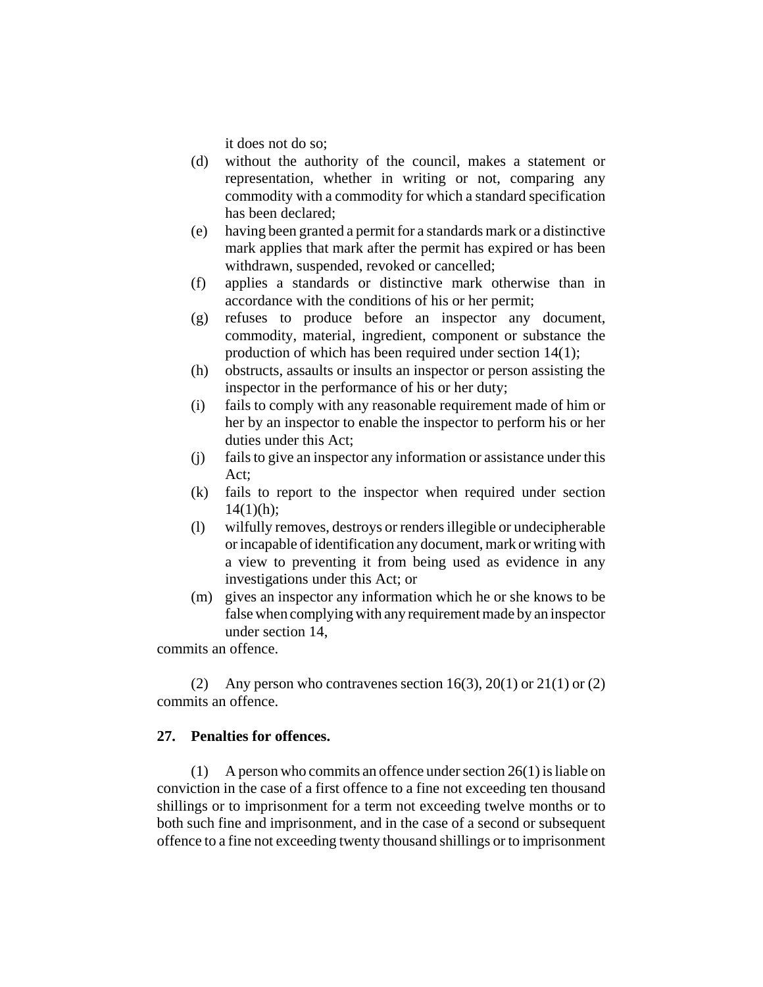it does not do so;

- (d) without the authority of the council, makes a statement or representation, whether in writing or not, comparing any commodity with a commodity for which a standard specification has been declared;
- (e) having been granted a permit for a standards mark or a distinctive mark applies that mark after the permit has expired or has been withdrawn, suspended, revoked or cancelled;
- (f) applies a standards or distinctive mark otherwise than in accordance with the conditions of his or her permit;
- (g) refuses to produce before an inspector any document, commodity, material, ingredient, component or substance the production of which has been required under section 14(1);
- (h) obstructs, assaults or insults an inspector or person assisting the inspector in the performance of his or her duty;
- (i) fails to comply with any reasonable requirement made of him or her by an inspector to enable the inspector to perform his or her duties under this Act;
- (j) fails to give an inspector any information or assistance under this Act;
- (k) fails to report to the inspector when required under section  $14(1)(h)$ :
- (l) wilfully removes, destroys or renders illegible or undecipherable or incapable of identification any document, mark or writing with a view to preventing it from being used as evidence in any investigations under this Act; or
- (m) gives an inspector any information which he or she knows to be false when complying with any requirement made by an inspector under section 14,

commits an offence.

(2) Any person who contravenes section  $16(3)$ ,  $20(1)$  or  $21(1)$  or  $(2)$ commits an offence.

#### **27. Penalties for offences.**

(1) A person who commits an offence under section 26(1) is liable on conviction in the case of a first offence to a fine not exceeding ten thousand shillings or to imprisonment for a term not exceeding twelve months or to both such fine and imprisonment, and in the case of a second or subsequent offence to a fine not exceeding twenty thousand shillings or to imprisonment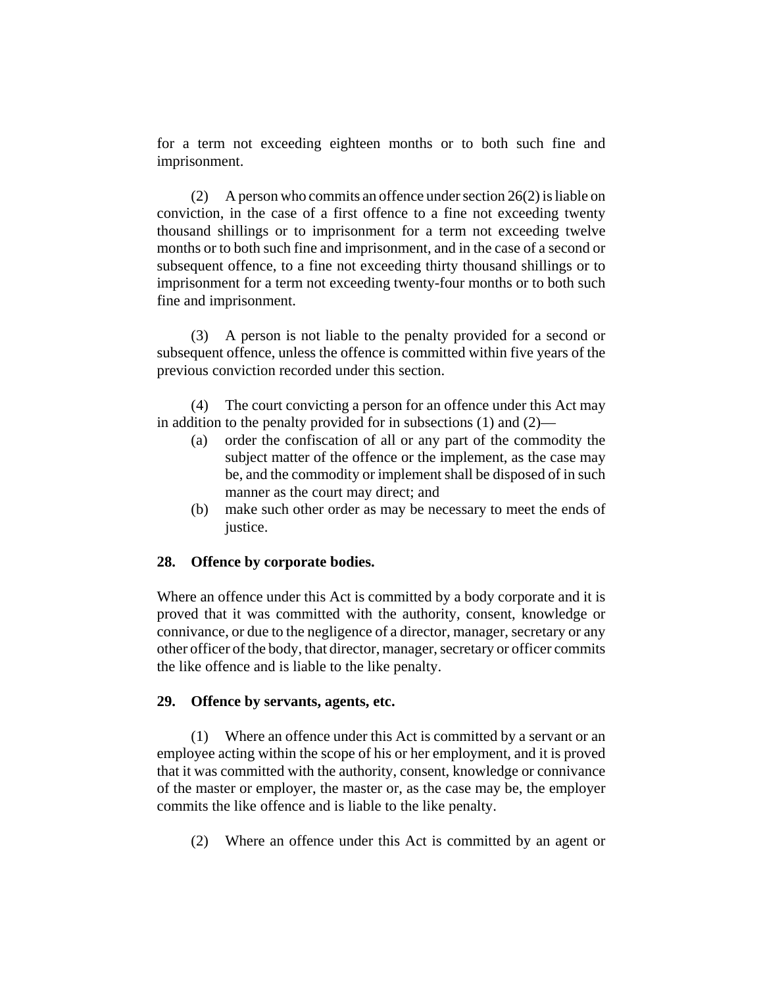for a term not exceeding eighteen months or to both such fine and imprisonment.

(2) A person who commits an offence under section 26(2) is liable on conviction, in the case of a first offence to a fine not exceeding twenty thousand shillings or to imprisonment for a term not exceeding twelve months or to both such fine and imprisonment, and in the case of a second or subsequent offence, to a fine not exceeding thirty thousand shillings or to imprisonment for a term not exceeding twenty-four months or to both such fine and imprisonment.

(3) A person is not liable to the penalty provided for a second or subsequent offence, unless the offence is committed within five years of the previous conviction recorded under this section.

(4) The court convicting a person for an offence under this Act may in addition to the penalty provided for in subsections (1) and (2)—

- (a) order the confiscation of all or any part of the commodity the subject matter of the offence or the implement, as the case may be, and the commodity or implement shall be disposed of in such manner as the court may direct; and
- (b) make such other order as may be necessary to meet the ends of justice.

## **28. Offence by corporate bodies.**

Where an offence under this Act is committed by a body corporate and it is proved that it was committed with the authority, consent, knowledge or connivance, or due to the negligence of a director, manager, secretary or any other officer of the body, that director, manager, secretary or officer commits the like offence and is liable to the like penalty.

#### **29. Offence by servants, agents, etc.**

(1) Where an offence under this Act is committed by a servant or an employee acting within the scope of his or her employment, and it is proved that it was committed with the authority, consent, knowledge or connivance of the master or employer, the master or, as the case may be, the employer commits the like offence and is liable to the like penalty.

(2) Where an offence under this Act is committed by an agent or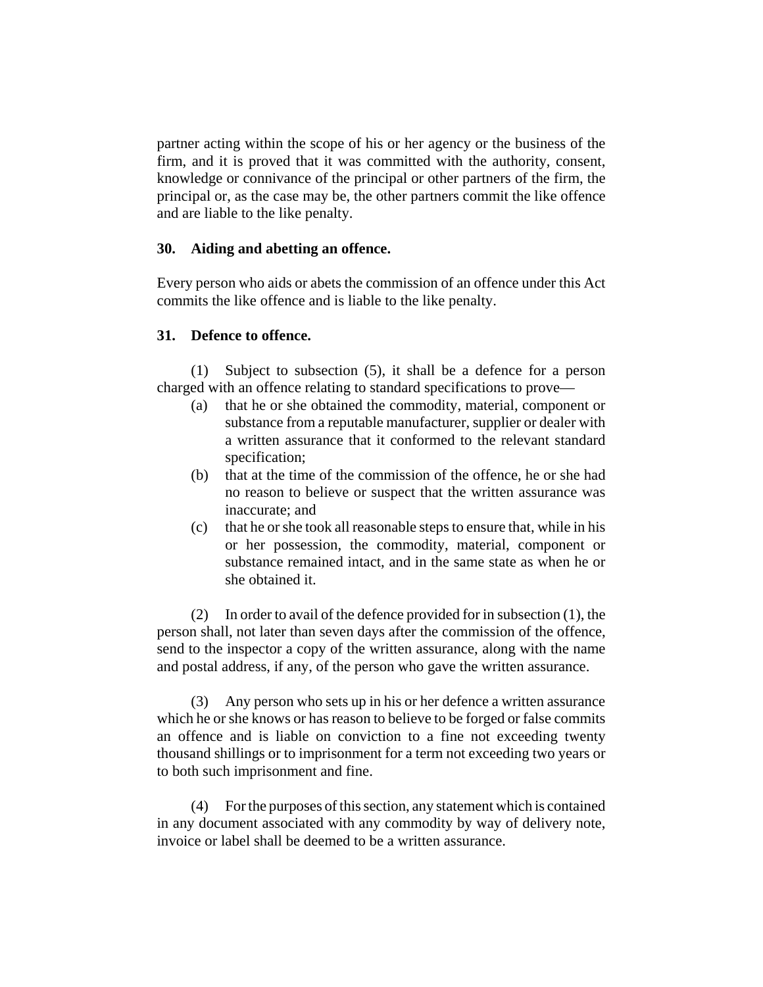partner acting within the scope of his or her agency or the business of the firm, and it is proved that it was committed with the authority, consent, knowledge or connivance of the principal or other partners of the firm, the principal or, as the case may be, the other partners commit the like offence and are liable to the like penalty.

### **30. Aiding and abetting an offence.**

Every person who aids or abets the commission of an offence under this Act commits the like offence and is liable to the like penalty.

## **31. Defence to offence.**

(1) Subject to subsection (5), it shall be a defence for a person charged with an offence relating to standard specifications to prove—

- (a) that he or she obtained the commodity, material, component or substance from a reputable manufacturer, supplier or dealer with a written assurance that it conformed to the relevant standard specification;
- (b) that at the time of the commission of the offence, he or she had no reason to believe or suspect that the written assurance was inaccurate; and
- (c) that he or she took all reasonable steps to ensure that, while in his or her possession, the commodity, material, component or substance remained intact, and in the same state as when he or she obtained it.

(2) In order to avail of the defence provided for in subsection (1), the person shall, not later than seven days after the commission of the offence, send to the inspector a copy of the written assurance, along with the name and postal address, if any, of the person who gave the written assurance.

(3) Any person who sets up in his or her defence a written assurance which he or she knows or has reason to believe to be forged or false commits an offence and is liable on conviction to a fine not exceeding twenty thousand shillings or to imprisonment for a term not exceeding two years or to both such imprisonment and fine.

(4) For the purposes of this section, any statement which is contained in any document associated with any commodity by way of delivery note, invoice or label shall be deemed to be a written assurance.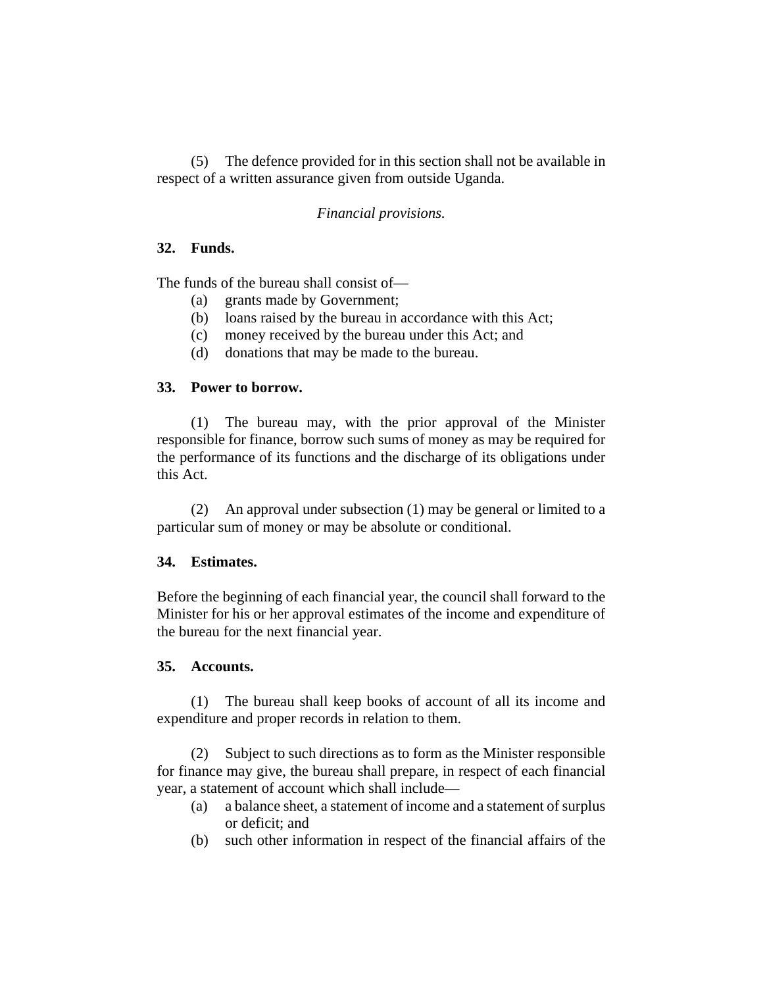(5) The defence provided for in this section shall not be available in respect of a written assurance given from outside Uganda.

## *Financial provisions.*

## **32. Funds.**

The funds of the bureau shall consist of—

- (a) grants made by Government;
- (b) loans raised by the bureau in accordance with this Act;
- (c) money received by the bureau under this Act; and
- (d) donations that may be made to the bureau.

## **33. Power to borrow.**

(1) The bureau may, with the prior approval of the Minister responsible for finance, borrow such sums of money as may be required for the performance of its functions and the discharge of its obligations under this Act.

(2) An approval under subsection (1) may be general or limited to a particular sum of money or may be absolute or conditional.

# **34. Estimates.**

Before the beginning of each financial year, the council shall forward to the Minister for his or her approval estimates of the income and expenditure of the bureau for the next financial year.

## **35. Accounts.**

(1) The bureau shall keep books of account of all its income and expenditure and proper records in relation to them.

(2) Subject to such directions as to form as the Minister responsible for finance may give, the bureau shall prepare, in respect of each financial year, a statement of account which shall include—

- (a) a balance sheet, a statement of income and a statement of surplus or deficit; and
- (b) such other information in respect of the financial affairs of the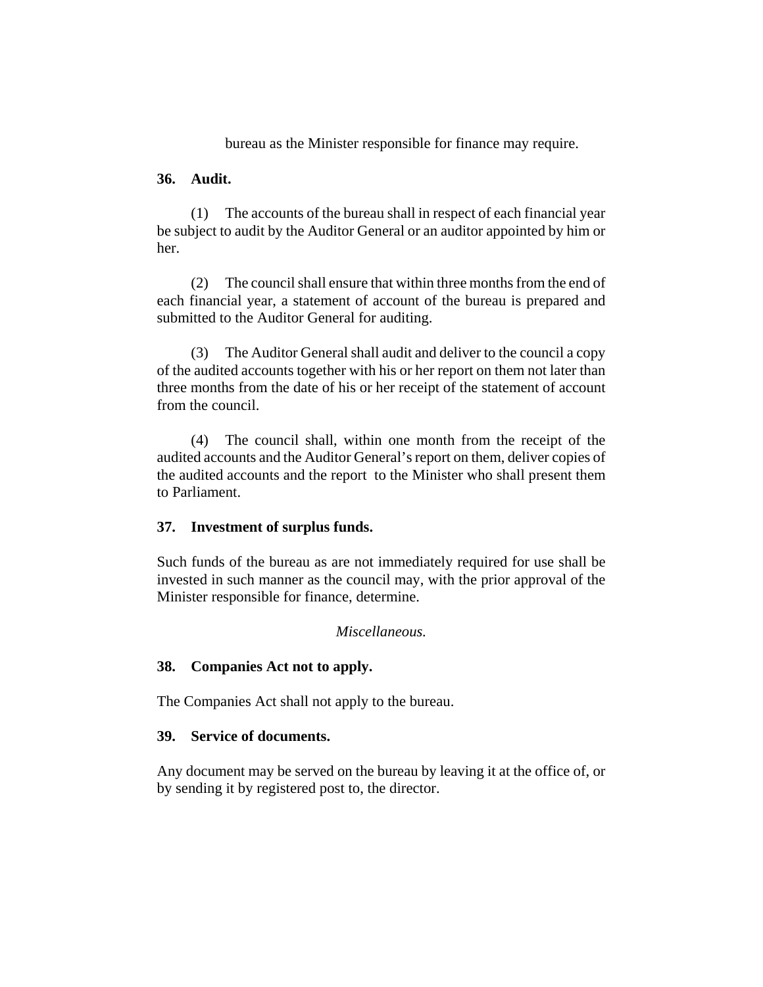bureau as the Minister responsible for finance may require.

#### **36. Audit.**

(1) The accounts of the bureau shall in respect of each financial year be subject to audit by the Auditor General or an auditor appointed by him or her.

(2) The council shall ensure that within three months from the end of each financial year, a statement of account of the bureau is prepared and submitted to the Auditor General for auditing.

(3) The Auditor General shall audit and deliver to the council a copy of the audited accounts together with his or her report on them not later than three months from the date of his or her receipt of the statement of account from the council.

(4) The council shall, within one month from the receipt of the audited accounts and the Auditor General's report on them, deliver copies of the audited accounts and the report to the Minister who shall present them to Parliament.

## **37. Investment of surplus funds.**

Such funds of the bureau as are not immediately required for use shall be invested in such manner as the council may, with the prior approval of the Minister responsible for finance, determine.

#### *Miscellaneous.*

## **38. Companies Act not to apply.**

The Companies Act shall not apply to the bureau.

### **39. Service of documents.**

Any document may be served on the bureau by leaving it at the office of, or by sending it by registered post to, the director.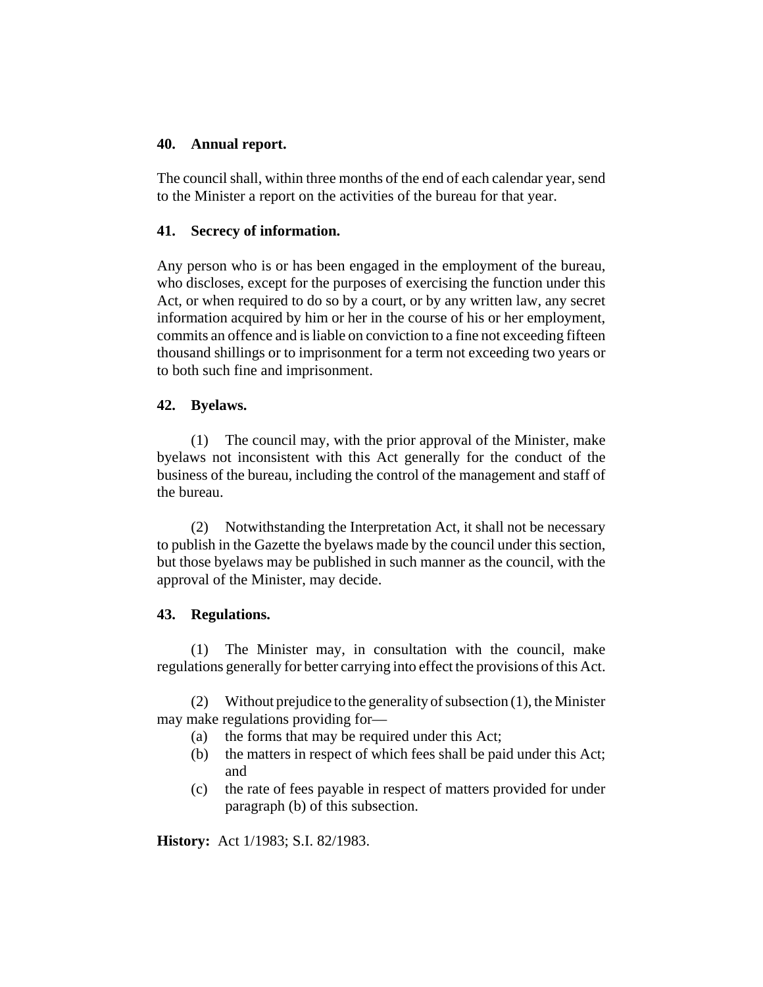### **40. Annual report.**

The council shall, within three months of the end of each calendar year, send to the Minister a report on the activities of the bureau for that year.

## **41. Secrecy of information.**

Any person who is or has been engaged in the employment of the bureau, who discloses, except for the purposes of exercising the function under this Act, or when required to do so by a court, or by any written law, any secret information acquired by him or her in the course of his or her employment, commits an offence and is liable on conviction to a fine not exceeding fifteen thousand shillings or to imprisonment for a term not exceeding two years or to both such fine and imprisonment.

## **42. Byelaws.**

(1) The council may, with the prior approval of the Minister, make byelaws not inconsistent with this Act generally for the conduct of the business of the bureau, including the control of the management and staff of the bureau.

(2) Notwithstanding the Interpretation Act, it shall not be necessary to publish in the Gazette the byelaws made by the council under this section, but those byelaws may be published in such manner as the council, with the approval of the Minister, may decide.

# **43. Regulations.**

(1) The Minister may, in consultation with the council, make regulations generally for better carrying into effect the provisions of this Act.

(2) Without prejudice to the generality of subsection (1), the Minister may make regulations providing for—

- (a) the forms that may be required under this Act;
- (b) the matters in respect of which fees shall be paid under this Act; and
- (c) the rate of fees payable in respect of matters provided for under paragraph (b) of this subsection.

**History:** Act 1/1983; S.I. 82/1983.